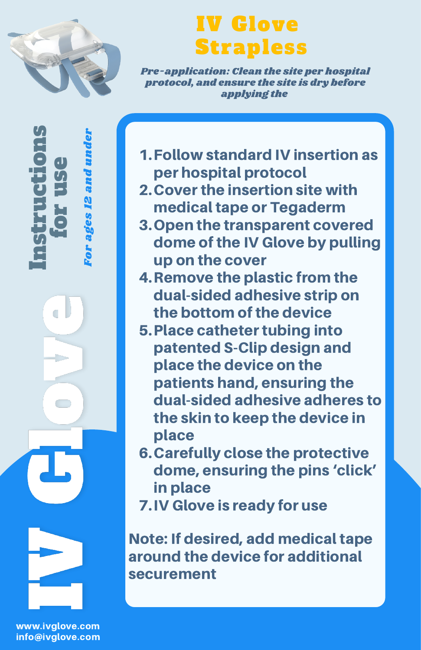

 $\mathbf{e}$  . rE,  $\bm{U}_t$ e

Fo r a ge s. - 1 N a n dun der

In $\bm{U}_t$ trE, c

 $\Box$ 

tio

n $\bm{U}_t$ 

## IV Glove Strapless

Pre-application: Clean the site per hospital protocol, and ensure the site is dry before applying the

Follow standard IV insertion as 1. per hospital protocol

- 2. Cover the insertion site with medical tape or Tegaderm
- 3. Open the transparent covered dome of the IV Glove by pulling up on the cover
- 4. Remove the plastic from the dual-sided adhesive strip on the bottom of the device
- 5. Place catheter tubing into patented S-Clip design and place the device on the patients hand, ensuring the dual-sided adhesive adheres to the skin to keep the device in place
- Carefully close the protective 6. dome, ensuring the pins 'click' in place

7. IV Glove is ready for use

Note: If desired, add medical tape around the device for additional securement

www.ivglove.com info@ivglove.com